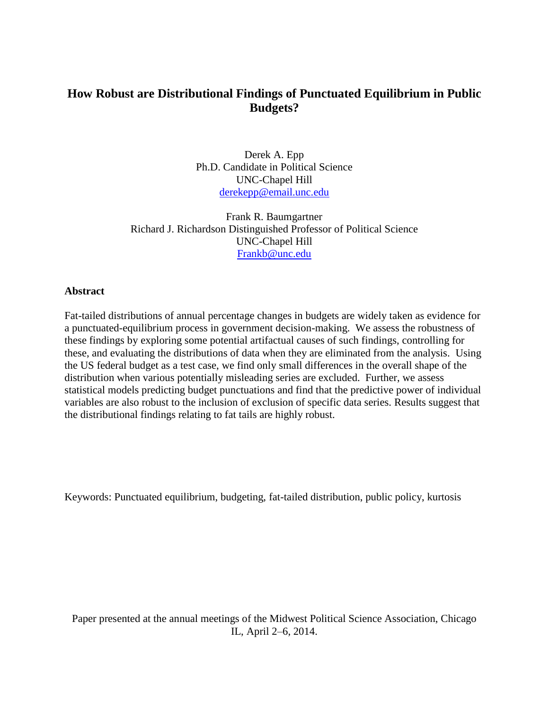# **How Robust are Distributional Findings of Punctuated Equilibrium in Public Budgets?**

Derek A. Epp Ph.D. Candidate in Political Science UNC-Chapel Hill [derekepp@email.unc.edu](mailto:derekepp@email.unc.edu)

Frank R. Baumgartner Richard J. Richardson Distinguished Professor of Political Science UNC-Chapel Hill [Frankb@unc.edu](mailto:Frankb@unc.edu)

#### **Abstract**

Fat-tailed distributions of annual percentage changes in budgets are widely taken as evidence for a punctuated-equilibrium process in government decision-making. We assess the robustness of these findings by exploring some potential artifactual causes of such findings, controlling for these, and evaluating the distributions of data when they are eliminated from the analysis. Using the US federal budget as a test case, we find only small differences in the overall shape of the distribution when various potentially misleading series are excluded. Further, we assess statistical models predicting budget punctuations and find that the predictive power of individual variables are also robust to the inclusion of exclusion of specific data series. Results suggest that the distributional findings relating to fat tails are highly robust.

Keywords: Punctuated equilibrium, budgeting, fat-tailed distribution, public policy, kurtosis

Paper presented at the annual meetings of the Midwest Political Science Association, Chicago IL, April 2–6, 2014.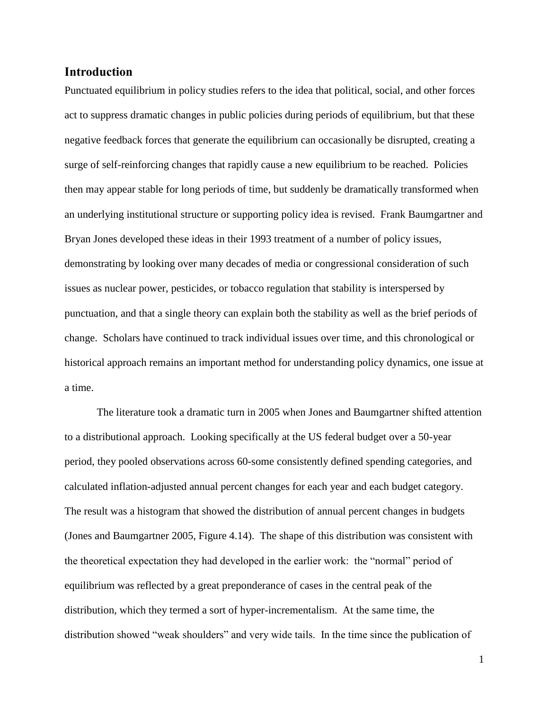## **Introduction**

Punctuated equilibrium in policy studies refers to the idea that political, social, and other forces act to suppress dramatic changes in public policies during periods of equilibrium, but that these negative feedback forces that generate the equilibrium can occasionally be disrupted, creating a surge of self-reinforcing changes that rapidly cause a new equilibrium to be reached. Policies then may appear stable for long periods of time, but suddenly be dramatically transformed when an underlying institutional structure or supporting policy idea is revised. Frank Baumgartner and Bryan Jones developed these ideas in their 1993 treatment of a number of policy issues, demonstrating by looking over many decades of media or congressional consideration of such issues as nuclear power, pesticides, or tobacco regulation that stability is interspersed by punctuation, and that a single theory can explain both the stability as well as the brief periods of change. Scholars have continued to track individual issues over time, and this chronological or historical approach remains an important method for understanding policy dynamics, one issue at a time.

The literature took a dramatic turn in 2005 when Jones and Baumgartner shifted attention to a distributional approach. Looking specifically at the US federal budget over a 50-year period, they pooled observations across 60-some consistently defined spending categories, and calculated inflation-adjusted annual percent changes for each year and each budget category. The result was a histogram that showed the distribution of annual percent changes in budgets (Jones and Baumgartner 2005, Figure 4.14). The shape of this distribution was consistent with the theoretical expectation they had developed in the earlier work: the "normal" period of equilibrium was reflected by a great preponderance of cases in the central peak of the distribution, which they termed a sort of hyper-incrementalism. At the same time, the distribution showed "weak shoulders" and very wide tails. In the time since the publication of

1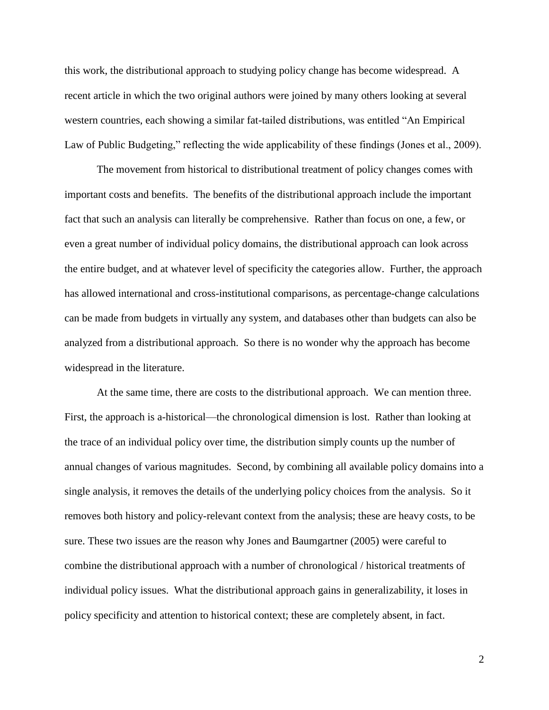this work, the distributional approach to studying policy change has become widespread. A recent article in which the two original authors were joined by many others looking at several western countries, each showing a similar fat-tailed distributions, was entitled "An Empirical Law of Public Budgeting," reflecting the wide applicability of these findings (Jones et al., 2009).

The movement from historical to distributional treatment of policy changes comes with important costs and benefits. The benefits of the distributional approach include the important fact that such an analysis can literally be comprehensive. Rather than focus on one, a few, or even a great number of individual policy domains, the distributional approach can look across the entire budget, and at whatever level of specificity the categories allow. Further, the approach has allowed international and cross-institutional comparisons, as percentage-change calculations can be made from budgets in virtually any system, and databases other than budgets can also be analyzed from a distributional approach. So there is no wonder why the approach has become widespread in the literature.

At the same time, there are costs to the distributional approach. We can mention three. First, the approach is a-historical—the chronological dimension is lost. Rather than looking at the trace of an individual policy over time, the distribution simply counts up the number of annual changes of various magnitudes. Second, by combining all available policy domains into a single analysis, it removes the details of the underlying policy choices from the analysis. So it removes both history and policy-relevant context from the analysis; these are heavy costs, to be sure. These two issues are the reason why Jones and Baumgartner (2005) were careful to combine the distributional approach with a number of chronological / historical treatments of individual policy issues. What the distributional approach gains in generalizability, it loses in policy specificity and attention to historical context; these are completely absent, in fact.

2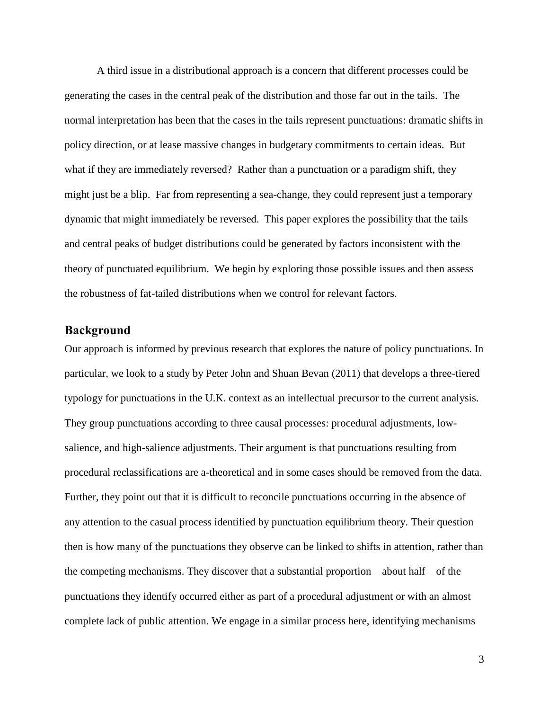A third issue in a distributional approach is a concern that different processes could be generating the cases in the central peak of the distribution and those far out in the tails. The normal interpretation has been that the cases in the tails represent punctuations: dramatic shifts in policy direction, or at lease massive changes in budgetary commitments to certain ideas. But what if they are immediately reversed? Rather than a punctuation or a paradigm shift, they might just be a blip. Far from representing a sea-change, they could represent just a temporary dynamic that might immediately be reversed. This paper explores the possibility that the tails and central peaks of budget distributions could be generated by factors inconsistent with the theory of punctuated equilibrium. We begin by exploring those possible issues and then assess the robustness of fat-tailed distributions when we control for relevant factors.

#### **Background**

Our approach is informed by previous research that explores the nature of policy punctuations. In particular, we look to a study by Peter John and Shuan Bevan (2011) that develops a three-tiered typology for punctuations in the U.K. context as an intellectual precursor to the current analysis. They group punctuations according to three causal processes: procedural adjustments, lowsalience, and high-salience adjustments. Their argument is that punctuations resulting from procedural reclassifications are a-theoretical and in some cases should be removed from the data. Further, they point out that it is difficult to reconcile punctuations occurring in the absence of any attention to the casual process identified by punctuation equilibrium theory. Their question then is how many of the punctuations they observe can be linked to shifts in attention, rather than the competing mechanisms. They discover that a substantial proportion—about half—of the punctuations they identify occurred either as part of a procedural adjustment or with an almost complete lack of public attention. We engage in a similar process here, identifying mechanisms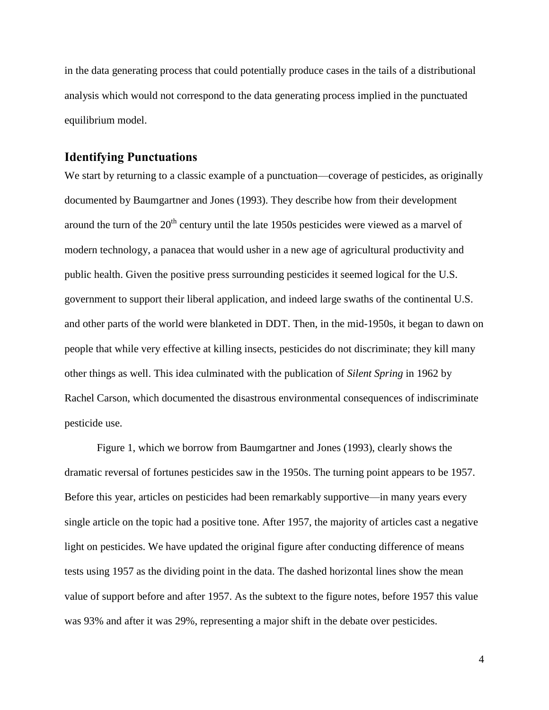in the data generating process that could potentially produce cases in the tails of a distributional analysis which would not correspond to the data generating process implied in the punctuated equilibrium model.

### **Identifying Punctuations**

We start by returning to a classic example of a punctuation—coverage of pesticides, as originally documented by Baumgartner and Jones (1993). They describe how from their development around the turn of the  $20<sup>th</sup>$  century until the late 1950s pesticides were viewed as a marvel of modern technology, a panacea that would usher in a new age of agricultural productivity and public health. Given the positive press surrounding pesticides it seemed logical for the U.S. government to support their liberal application, and indeed large swaths of the continental U.S. and other parts of the world were blanketed in DDT. Then, in the mid-1950s, it began to dawn on people that while very effective at killing insects, pesticides do not discriminate; they kill many other things as well. This idea culminated with the publication of *Silent Spring* in 1962 by Rachel Carson, which documented the disastrous environmental consequences of indiscriminate pesticide use.

Figure 1, which we borrow from Baumgartner and Jones (1993), clearly shows the dramatic reversal of fortunes pesticides saw in the 1950s. The turning point appears to be 1957. Before this year, articles on pesticides had been remarkably supportive—in many years every single article on the topic had a positive tone. After 1957, the majority of articles cast a negative light on pesticides. We have updated the original figure after conducting difference of means tests using 1957 as the dividing point in the data. The dashed horizontal lines show the mean value of support before and after 1957. As the subtext to the figure notes, before 1957 this value was 93% and after it was 29%, representing a major shift in the debate over pesticides.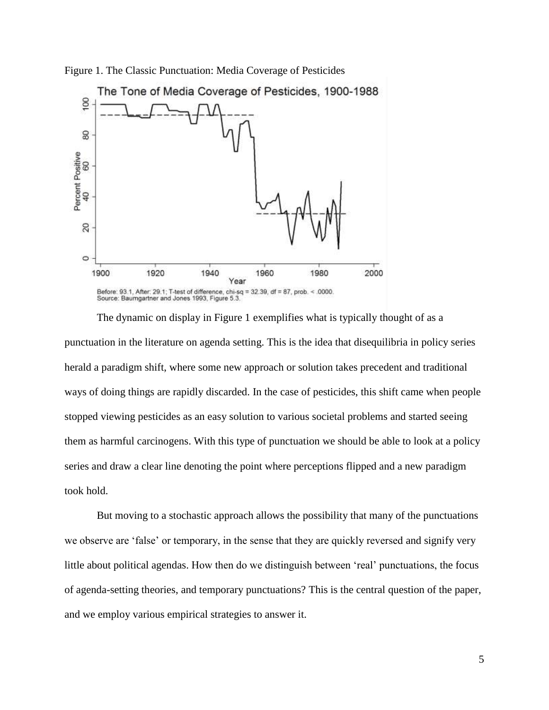

Figure 1. The Classic Punctuation: Media Coverage of Pesticides

The dynamic on display in Figure 1 exemplifies what is typically thought of as a punctuation in the literature on agenda setting. This is the idea that disequilibria in policy series herald a paradigm shift, where some new approach or solution takes precedent and traditional ways of doing things are rapidly discarded. In the case of pesticides, this shift came when people stopped viewing pesticides as an easy solution to various societal problems and started seeing them as harmful carcinogens. With this type of punctuation we should be able to look at a policy series and draw a clear line denoting the point where perceptions flipped and a new paradigm took hold.

But moving to a stochastic approach allows the possibility that many of the punctuations we observe are 'false' or temporary, in the sense that they are quickly reversed and signify very little about political agendas. How then do we distinguish between 'real' punctuations, the focus of agenda-setting theories, and temporary punctuations? This is the central question of the paper, and we employ various empirical strategies to answer it.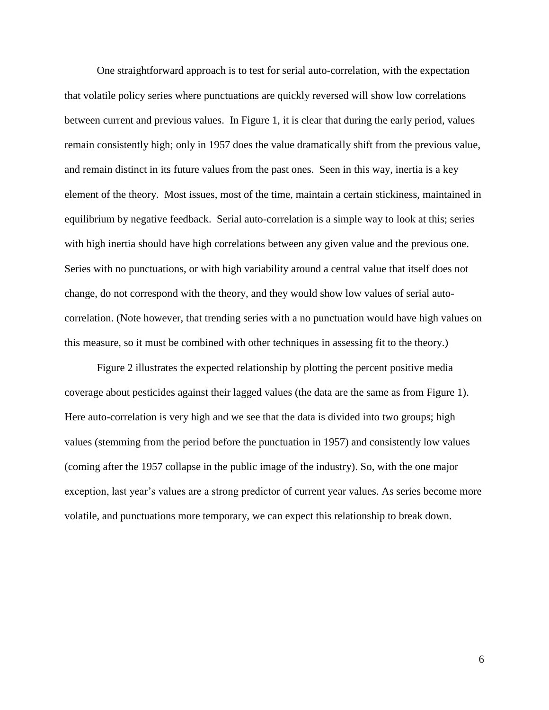One straightforward approach is to test for serial auto-correlation, with the expectation that volatile policy series where punctuations are quickly reversed will show low correlations between current and previous values. In Figure 1, it is clear that during the early period, values remain consistently high; only in 1957 does the value dramatically shift from the previous value, and remain distinct in its future values from the past ones. Seen in this way, inertia is a key element of the theory. Most issues, most of the time, maintain a certain stickiness, maintained in equilibrium by negative feedback. Serial auto-correlation is a simple way to look at this; series with high inertia should have high correlations between any given value and the previous one. Series with no punctuations, or with high variability around a central value that itself does not change, do not correspond with the theory, and they would show low values of serial autocorrelation. (Note however, that trending series with a no punctuation would have high values on this measure, so it must be combined with other techniques in assessing fit to the theory.)

Figure 2 illustrates the expected relationship by plotting the percent positive media coverage about pesticides against their lagged values (the data are the same as from Figure 1). Here auto-correlation is very high and we see that the data is divided into two groups; high values (stemming from the period before the punctuation in 1957) and consistently low values (coming after the 1957 collapse in the public image of the industry). So, with the one major exception, last year's values are a strong predictor of current year values. As series become more volatile, and punctuations more temporary, we can expect this relationship to break down.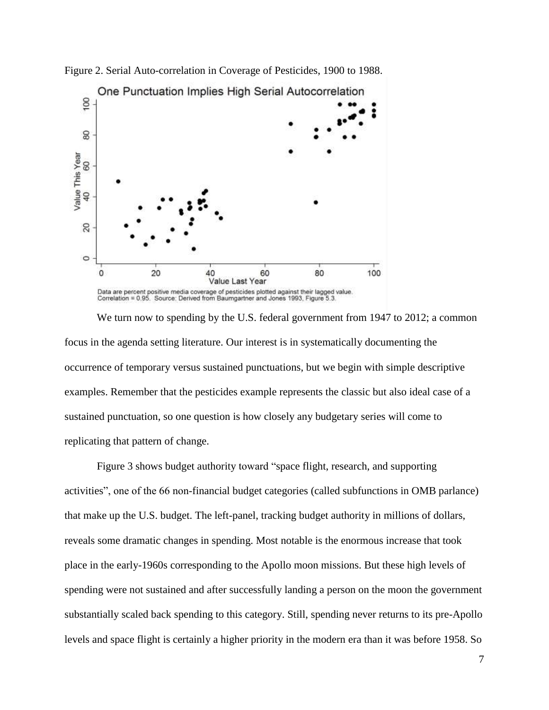

Figure 2. Serial Auto-correlation in Coverage of Pesticides, 1900 to 1988.

We turn now to spending by the U.S. federal government from 1947 to 2012; a common focus in the agenda setting literature. Our interest is in systematically documenting the occurrence of temporary versus sustained punctuations, but we begin with simple descriptive examples. Remember that the pesticides example represents the classic but also ideal case of a sustained punctuation, so one question is how closely any budgetary series will come to replicating that pattern of change.

Figure 3 shows budget authority toward "space flight, research, and supporting activities", one of the 66 non-financial budget categories (called subfunctions in OMB parlance) that make up the U.S. budget. The left-panel, tracking budget authority in millions of dollars, reveals some dramatic changes in spending. Most notable is the enormous increase that took place in the early-1960s corresponding to the Apollo moon missions. But these high levels of spending were not sustained and after successfully landing a person on the moon the government substantially scaled back spending to this category. Still, spending never returns to its pre-Apollo levels and space flight is certainly a higher priority in the modern era than it was before 1958. So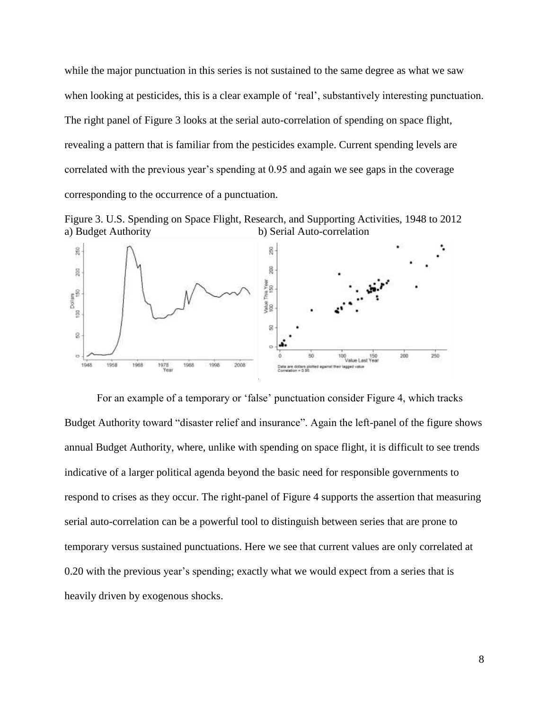while the major punctuation in this series is not sustained to the same degree as what we saw when looking at pesticides, this is a clear example of 'real', substantively interesting punctuation. The right panel of Figure 3 looks at the serial auto-correlation of spending on space flight, revealing a pattern that is familiar from the pesticides example. Current spending levels are correlated with the previous year's spending at 0.95 and again we see gaps in the coverage corresponding to the occurrence of a punctuation.





For an example of a temporary or 'false' punctuation consider Figure 4, which tracks Budget Authority toward "disaster relief and insurance". Again the left-panel of the figure shows annual Budget Authority, where, unlike with spending on space flight, it is difficult to see trends indicative of a larger political agenda beyond the basic need for responsible governments to respond to crises as they occur. The right-panel of Figure 4 supports the assertion that measuring serial auto-correlation can be a powerful tool to distinguish between series that are prone to temporary versus sustained punctuations. Here we see that current values are only correlated at 0.20 with the previous year's spending; exactly what we would expect from a series that is heavily driven by exogenous shocks.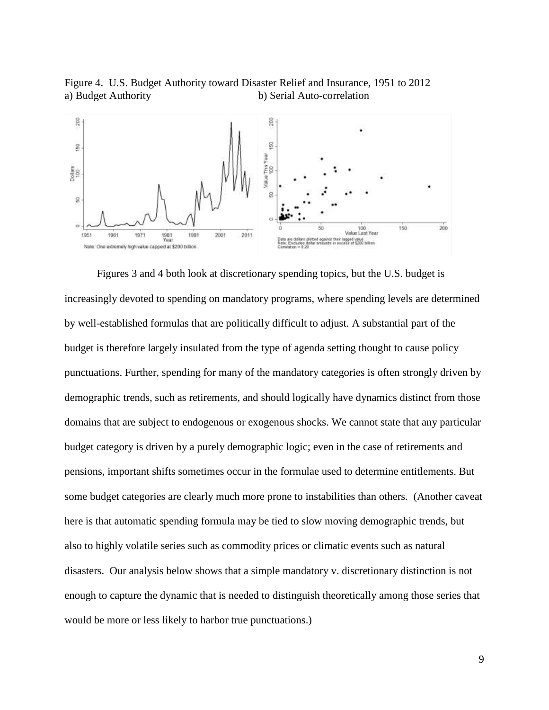Figure 4. U.S. Budget Authority toward Disaster Relief and Insurance, 1951 to 2012 a) Budget Authority b) Serial Auto-correlation



Figures 3 and 4 both look at discretionary spending topics, but the U.S. budget is increasingly devoted to spending on mandatory programs, where spending levels are determined by well-established formulas that are politically difficult to adjust. A substantial part of the budget is therefore largely insulated from the type of agenda setting thought to cause policy punctuations. Further, spending for many of the mandatory categories is often strongly driven by demographic trends, such as retirements, and should logically have dynamics distinct from those domains that are subject to endogenous or exogenous shocks. We cannot state that any particular budget category is driven by a purely demographic logic; even in the case of retirements and pensions, important shifts sometimes occur in the formulae used to determine entitlements. But some budget categories are clearly much more prone to instabilities than others. (Another caveat here is that automatic spending formula may be tied to slow moving demographic trends, but also to highly volatile series such as commodity prices or climatic events such as natural disasters. Our analysis below shows that a simple mandatory v. discretionary distinction is not enough to capture the dynamic that is needed to distinguish theoretically among those series that would be more or less likely to harbor true punctuations.)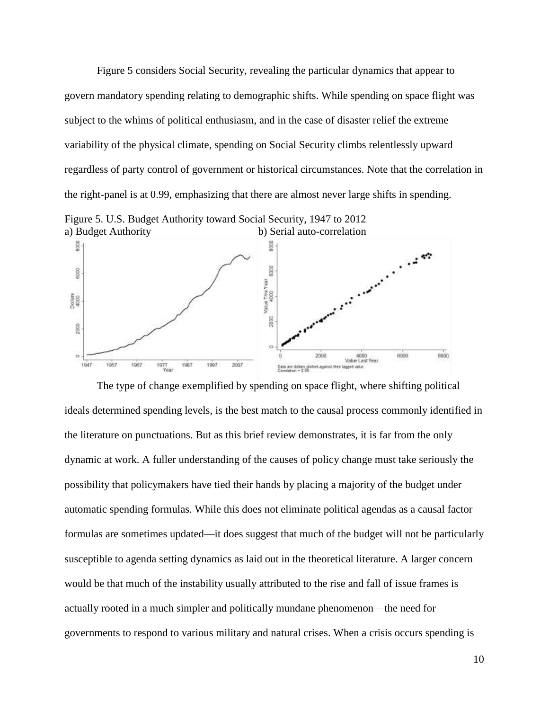Figure 5 considers Social Security, revealing the particular dynamics that appear to govern mandatory spending relating to demographic shifts. While spending on space flight was subject to the whims of political enthusiasm, and in the case of disaster relief the extreme variability of the physical climate, spending on Social Security climbs relentlessly upward regardless of party control of government or historical circumstances. Note that the correlation in the right-panel is at 0.99, emphasizing that there are almost never large shifts in spending.





The type of change exemplified by spending on space flight, where shifting political ideals determined spending levels, is the best match to the causal process commonly identified in the literature on punctuations. But as this brief review demonstrates, it is far from the only dynamic at work. A fuller understanding of the causes of policy change must take seriously the possibility that policymakers have tied their hands by placing a majority of the budget under automatic spending formulas. While this does not eliminate political agendas as a causal factor formulas are sometimes updated—it does suggest that much of the budget will not be particularly susceptible to agenda setting dynamics as laid out in the theoretical literature. A larger concern would be that much of the instability usually attributed to the rise and fall of issue frames is actually rooted in a much simpler and politically mundane phenomenon—the need for governments to respond to various military and natural crises. When a crisis occurs spending is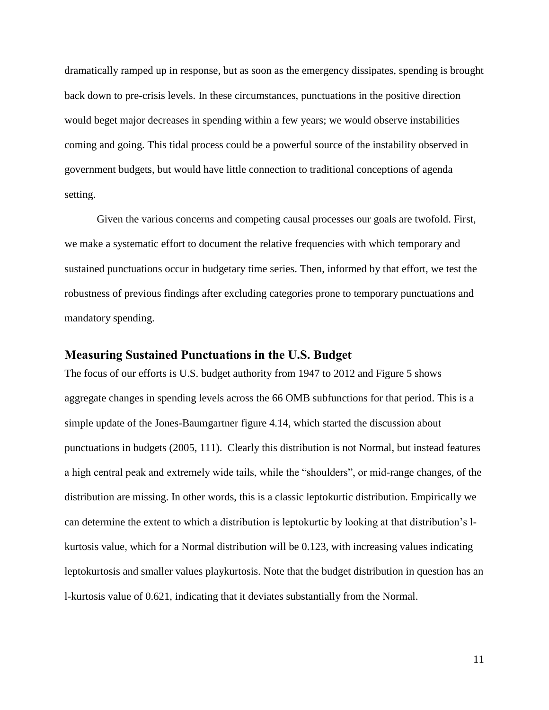dramatically ramped up in response, but as soon as the emergency dissipates, spending is brought back down to pre-crisis levels. In these circumstances, punctuations in the positive direction would beget major decreases in spending within a few years; we would observe instabilities coming and going. This tidal process could be a powerful source of the instability observed in government budgets, but would have little connection to traditional conceptions of agenda setting.

Given the various concerns and competing causal processes our goals are twofold. First, we make a systematic effort to document the relative frequencies with which temporary and sustained punctuations occur in budgetary time series. Then, informed by that effort, we test the robustness of previous findings after excluding categories prone to temporary punctuations and mandatory spending.

### **Measuring Sustained Punctuations in the U.S. Budget**

The focus of our efforts is U.S. budget authority from 1947 to 2012 and Figure 5 shows aggregate changes in spending levels across the 66 OMB subfunctions for that period. This is a simple update of the Jones-Baumgartner figure 4.14, which started the discussion about punctuations in budgets (2005, 111). Clearly this distribution is not Normal, but instead features a high central peak and extremely wide tails, while the "shoulders", or mid-range changes, of the distribution are missing. In other words, this is a classic leptokurtic distribution. Empirically we can determine the extent to which a distribution is leptokurtic by looking at that distribution's lkurtosis value, which for a Normal distribution will be 0.123, with increasing values indicating leptokurtosis and smaller values playkurtosis. Note that the budget distribution in question has an l-kurtosis value of 0.621, indicating that it deviates substantially from the Normal.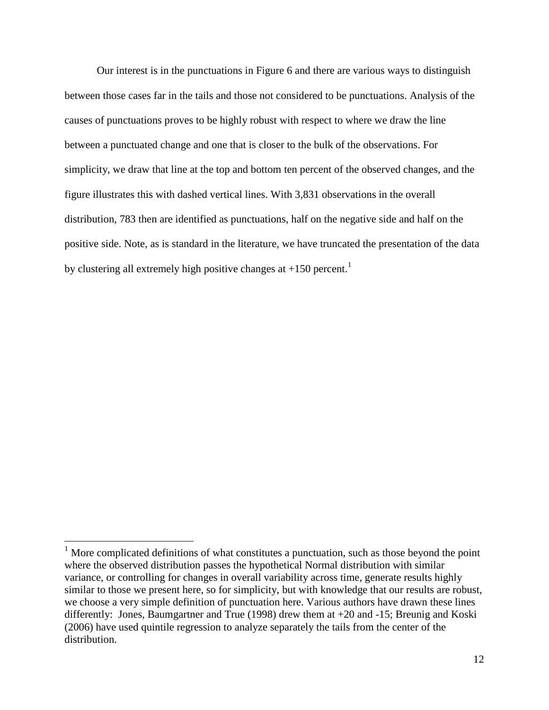Our interest is in the punctuations in Figure 6 and there are various ways to distinguish between those cases far in the tails and those not considered to be punctuations. Analysis of the causes of punctuations proves to be highly robust with respect to where we draw the line between a punctuated change and one that is closer to the bulk of the observations. For simplicity, we draw that line at the top and bottom ten percent of the observed changes, and the figure illustrates this with dashed vertical lines. With 3,831 observations in the overall distribution, 783 then are identified as punctuations, half on the negative side and half on the positive side. Note, as is standard in the literature, we have truncated the presentation of the data by clustering all extremely high positive changes at  $+150$  percent.<sup>1</sup>

 $\overline{a}$ 

 $1$  More complicated definitions of what constitutes a punctuation, such as those beyond the point where the observed distribution passes the hypothetical Normal distribution with similar variance, or controlling for changes in overall variability across time, generate results highly similar to those we present here, so for simplicity, but with knowledge that our results are robust, we choose a very simple definition of punctuation here. Various authors have drawn these lines differently: Jones, Baumgartner and True (1998) drew them at +20 and -15; Breunig and Koski (2006) have used quintile regression to analyze separately the tails from the center of the distribution.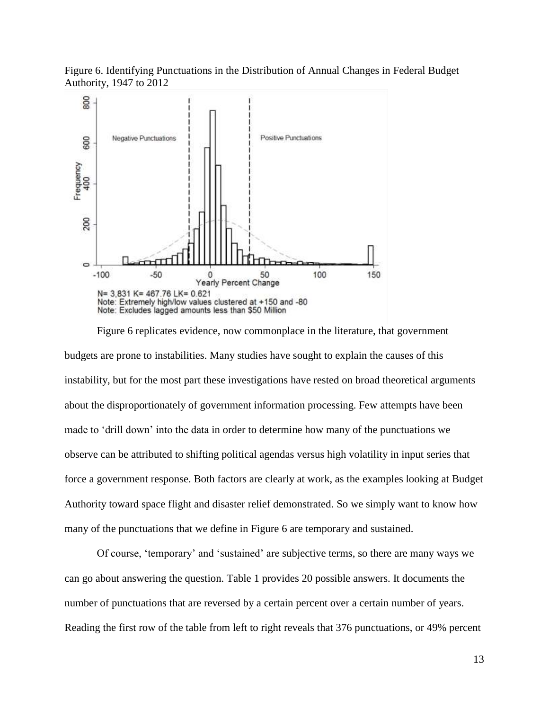Figure 6. Identifying Punctuations in the Distribution of Annual Changes in Federal Budget Authority, 1947 to 2012



Figure 6 replicates evidence, now commonplace in the literature, that government budgets are prone to instabilities. Many studies have sought to explain the causes of this instability, but for the most part these investigations have rested on broad theoretical arguments about the disproportionately of government information processing. Few attempts have been made to 'drill down' into the data in order to determine how many of the punctuations we observe can be attributed to shifting political agendas versus high volatility in input series that force a government response. Both factors are clearly at work, as the examples looking at Budget Authority toward space flight and disaster relief demonstrated. So we simply want to know how many of the punctuations that we define in Figure 6 are temporary and sustained.

Of course, 'temporary' and 'sustained' are subjective terms, so there are many ways we can go about answering the question. Table 1 provides 20 possible answers. It documents the number of punctuations that are reversed by a certain percent over a certain number of years. Reading the first row of the table from left to right reveals that 376 punctuations, or 49% percent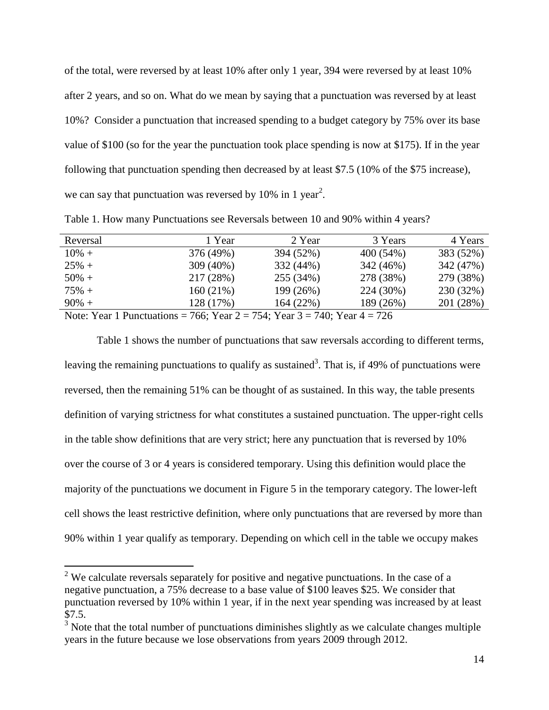of the total, were reversed by at least 10% after only 1 year, 394 were reversed by at least 10% after 2 years, and so on. What do we mean by saying that a punctuation was reversed by at least 10%? Consider a punctuation that increased spending to a budget category by 75% over its base value of \$100 (so for the year the punctuation took place spending is now at \$175). If in the year following that punctuation spending then decreased by at least \$7.5 (10% of the \$75 increase), we can say that punctuation was reversed by 10% in 1 year<sup>2</sup>.

|  | Table 1. How many Punctuations see Reversals between 10 and 90% within 4 years? |  |  |
|--|---------------------------------------------------------------------------------|--|--|
|  |                                                                                 |  |  |

| Reversal                                                                   | 1 Year    | 2 Year                                                 | 3 Years   | 4 Years   |
|----------------------------------------------------------------------------|-----------|--------------------------------------------------------|-----------|-----------|
| $10\% +$                                                                   | 376 (49%) | 394 (52%)                                              | 400 (54%) | 383 (52%) |
| $25% +$                                                                    | 309 (40%) | 332 (44%)                                              | 342 (46%) | 342 (47%) |
| $50\% +$                                                                   | 217 (28%) | 255 (34%)                                              | 278 (38%) | 279 (38%) |
| $75% +$                                                                    | 160(21%)  | 199 (26%)                                              | 224 (30%) | 230 (32%) |
| $90\% +$                                                                   | 128 (17%) | 164(22%)                                               | 189 (26%) | 201 (28%) |
| $N_{i+1}, N_{i+2}, 1, N_{i+3}, \ldots, N_{i+4}, N_{i+5}, N_{i+7}, N_{i+8}$ |           | $754.$ $V_{11}$ , $27.$ $740.$ $V_{11}$ , $47.$ $725.$ |           |           |

Note: Year 1 Punctuations = 766; Year  $2 = 754$ ; Year  $3 = 740$ ; Year  $4 = 726$ 

 $\overline{a}$ 

Table 1 shows the number of punctuations that saw reversals according to different terms, leaving the remaining punctuations to qualify as sustained<sup>3</sup>. That is, if 49% of punctuations were reversed, then the remaining 51% can be thought of as sustained. In this way, the table presents definition of varying strictness for what constitutes a sustained punctuation. The upper-right cells in the table show definitions that are very strict; here any punctuation that is reversed by 10% over the course of 3 or 4 years is considered temporary. Using this definition would place the majority of the punctuations we document in Figure 5 in the temporary category. The lower-left cell shows the least restrictive definition, where only punctuations that are reversed by more than 90% within 1 year qualify as temporary. Depending on which cell in the table we occupy makes

 $2$  We calculate reversals separately for positive and negative punctuations. In the case of a negative punctuation, a 75% decrease to a base value of \$100 leaves \$25. We consider that punctuation reversed by 10% within 1 year, if in the next year spending was increased by at least \$7.5.

 $3$  Note that the total number of punctuations diminishes slightly as we calculate changes multiple years in the future because we lose observations from years 2009 through 2012.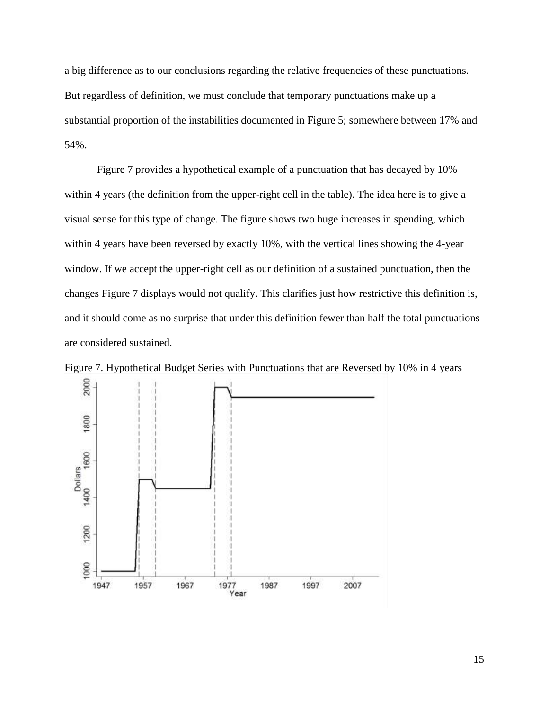a big difference as to our conclusions regarding the relative frequencies of these punctuations. But regardless of definition, we must conclude that temporary punctuations make up a substantial proportion of the instabilities documented in Figure 5; somewhere between 17% and 54%.

Figure 7 provides a hypothetical example of a punctuation that has decayed by 10% within 4 years (the definition from the upper-right cell in the table). The idea here is to give a visual sense for this type of change. The figure shows two huge increases in spending, which within 4 years have been reversed by exactly 10%, with the vertical lines showing the 4-year window. If we accept the upper-right cell as our definition of a sustained punctuation, then the changes Figure 7 displays would not qualify. This clarifies just how restrictive this definition is, and it should come as no surprise that under this definition fewer than half the total punctuations are considered sustained.



Figure 7. Hypothetical Budget Series with Punctuations that are Reversed by 10% in 4 years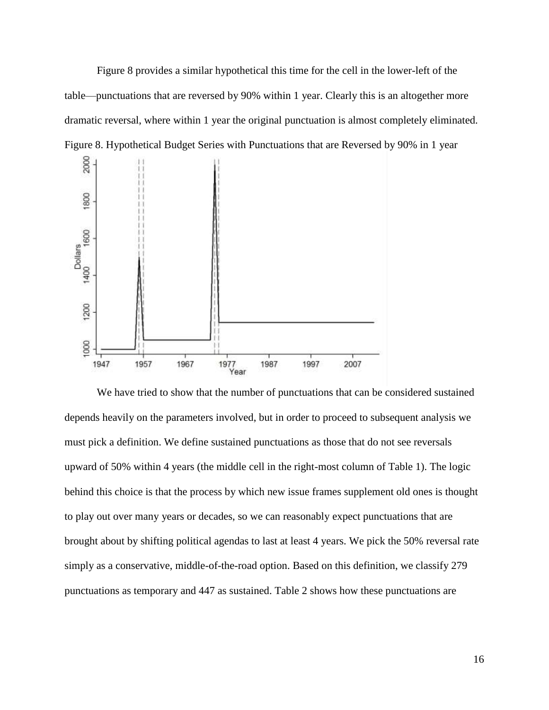Figure 8 provides a similar hypothetical this time for the cell in the lower-left of the table—punctuations that are reversed by 90% within 1 year. Clearly this is an altogether more dramatic reversal, where within 1 year the original punctuation is almost completely eliminated. Figure 8. Hypothetical Budget Series with Punctuations that are Reversed by 90% in 1 year



We have tried to show that the number of punctuations that can be considered sustained depends heavily on the parameters involved, but in order to proceed to subsequent analysis we must pick a definition. We define sustained punctuations as those that do not see reversals upward of 50% within 4 years (the middle cell in the right-most column of Table 1). The logic behind this choice is that the process by which new issue frames supplement old ones is thought to play out over many years or decades, so we can reasonably expect punctuations that are brought about by shifting political agendas to last at least 4 years. We pick the 50% reversal rate simply as a conservative, middle-of-the-road option. Based on this definition, we classify 279 punctuations as temporary and 447 as sustained. Table 2 shows how these punctuations are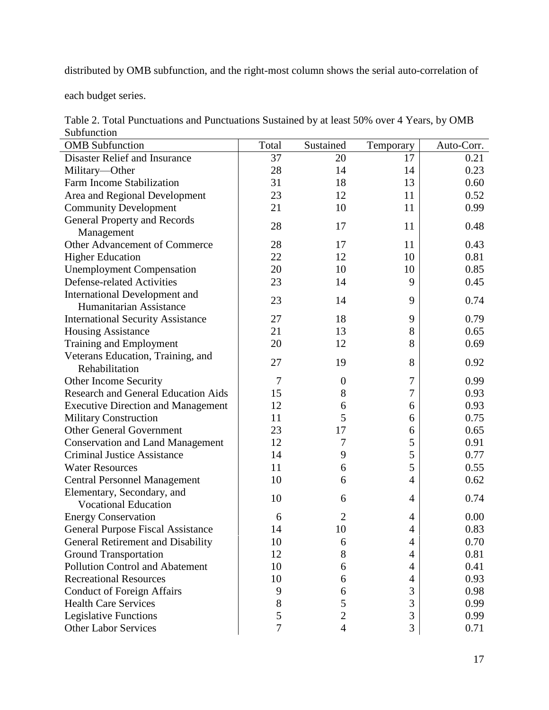distributed by OMB subfunction, and the right-most column shows the serial auto-correlation of

each budget series.

| Table 2. Total Punctuations and Punctuations Sustained by at least 50% over 4 Years, by OMB |
|---------------------------------------------------------------------------------------------|
| Subfunction                                                                                 |

| <b>DUDIUIICHUII</b>                        |               |                  |           |            |
|--------------------------------------------|---------------|------------------|-----------|------------|
| <b>OMB</b> Subfunction                     | Total         | Sustained        | Temporary | Auto-Corr. |
| Disaster Relief and Insurance              | 37            | 20               | 17        | 0.21       |
| Military-Other                             | 28            | 14               | 14        | 0.23       |
| Farm Income Stabilization                  | 31            | 18               | 13        | 0.60       |
| Area and Regional Development              | 23            | 12               | 11        | 0.52       |
| <b>Community Development</b>               | 21            | 10               | 11        | 0.99       |
| <b>General Property and Records</b>        | 28            | 17               | 11        | 0.48       |
| Management                                 |               |                  |           |            |
| Other Advancement of Commerce              | 28            | 17               | 11        | 0.43       |
| <b>Higher Education</b>                    | 22            | 12               | 10        | 0.81       |
| <b>Unemployment Compensation</b>           | 20            | 10               | 10        | 0.85       |
| <b>Defense-related Activities</b>          | 23            | 14               | 9         | 0.45       |
| <b>International Development and</b>       |               |                  |           |            |
| Humanitarian Assistance                    | 23            | 14               | 9         | 0.74       |
| <b>International Security Assistance</b>   | 27            | 18               | 9         | 0.79       |
| <b>Housing Assistance</b>                  | 21            | 13               | 8         | 0.65       |
| Training and Employment                    | 20            | 12               | 8         | 0.69       |
| Veterans Education, Training, and          |               |                  |           |            |
| Rehabilitation                             | 27            | 19               | 8         | 0.92       |
| Other Income Security                      | $\tau$        | $\boldsymbol{0}$ | 7         | 0.99       |
| <b>Research and General Education Aids</b> | 15            | 8                | 7         | 0.93       |
| <b>Executive Direction and Management</b>  | 12            | 6                | 6         | 0.93       |
| <b>Military Construction</b>               | 11            | 5                | 6         | 0.75       |
| <b>Other General Government</b>            | 23            | 17               | 6         | 0.65       |
| <b>Conservation and Land Management</b>    | 12            | 7                | 5         | 0.91       |
| <b>Criminal Justice Assistance</b>         | 14            | 9                | 5         | 0.77       |
| <b>Water Resources</b>                     | 11            | 6                | 5         | 0.55       |
| <b>Central Personnel Management</b>        | 10            | 6                | 4         | 0.62       |
| Elementary, Secondary, and                 |               |                  |           |            |
| <b>Vocational Education</b>                | 10            | 6                | 4         | 0.74       |
| <b>Energy Conservation</b>                 | 6             | $\overline{2}$   | 4         | 0.00       |
| <b>General Purpose Fiscal Assistance</b>   | 14            | 10               | 4         | 0.83       |
| General Retirement and Disability          | 10            | 6                | 4         | 0.70       |
| <b>Ground Transportation</b>               | 12            | 8                | 4         | 0.81       |
| <b>Pollution Control and Abatement</b>     | 10            | 6                | 4         | 0.41       |
| <b>Recreational Resources</b>              | 10            | 6                | 4         | 0.93       |
| <b>Conduct of Foreign Affairs</b>          | 9             | 6                | 3         | 0.98       |
| <b>Health Care Services</b>                | $8\,$         | 5                | 3         | 0.99       |
| <b>Legislative Functions</b>               | $\mathfrak s$ | $\overline{c}$   | 3         | 0.99       |
| <b>Other Labor Services</b>                | $\tau$        | $\overline{4}$   | 3         | 0.71       |
|                                            |               |                  |           |            |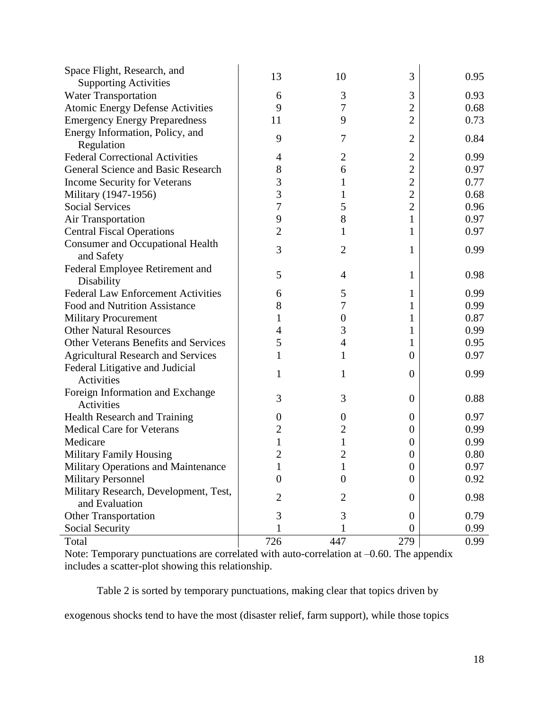| Space Flight, Research, and                 |                  |                  |                  |      |
|---------------------------------------------|------------------|------------------|------------------|------|
| <b>Supporting Activities</b>                | 13               | 10               | 3                | 0.95 |
| <b>Water Transportation</b>                 | 6                | 3                | 3                | 0.93 |
| <b>Atomic Energy Defense Activities</b>     | 9                | 7                | $\overline{2}$   | 0.68 |
| <b>Emergency Energy Preparedness</b>        | 11               | 9                | $\overline{2}$   | 0.73 |
| Energy Information, Policy, and             |                  |                  |                  |      |
| Regulation                                  | 9                | 7                | $\overline{2}$   | 0.84 |
| <b>Federal Correctional Activities</b>      | 4                | $\overline{2}$   | $\overline{c}$   | 0.99 |
| General Science and Basic Research          | 8                | 6                | $\overline{2}$   | 0.97 |
| <b>Income Security for Veterans</b>         | 3                | 1                | $\overline{2}$   | 0.77 |
| Military (1947-1956)                        | 3                | 1                | $\overline{2}$   | 0.68 |
| <b>Social Services</b>                      | 7                | 5                | $\overline{2}$   | 0.96 |
| <b>Air Transportation</b>                   | 9                | 8                |                  | 0.97 |
| <b>Central Fiscal Operations</b>            | $\overline{2}$   |                  | 1                | 0.97 |
| <b>Consumer and Occupational Health</b>     | 3                | 2                | 1                | 0.99 |
| and Safety                                  |                  |                  |                  |      |
| Federal Employee Retirement and             | 5                | 4                | 1                | 0.98 |
| Disability                                  |                  |                  |                  |      |
| <b>Federal Law Enforcement Activities</b>   | 6                | 5                | 1                | 0.99 |
| <b>Food and Nutrition Assistance</b>        | 8                | 7                | 1                | 0.99 |
| <b>Military Procurement</b>                 | 1                | $\boldsymbol{0}$ | 1                | 0.87 |
| <b>Other Natural Resources</b>              | 4                | 3                | 1                | 0.99 |
| <b>Other Veterans Benefits and Services</b> | 5                | 4                | 1                | 0.95 |
| <b>Agricultural Research and Services</b>   | 1                | 1                | $\overline{0}$   | 0.97 |
| Federal Litigative and Judicial             | 1                | 1                | $\theta$         | 0.99 |
| Activities                                  |                  |                  |                  |      |
| Foreign Information and Exchange            | 3                | 3                | $\overline{0}$   | 0.88 |
| Activities                                  |                  |                  |                  |      |
| Health Research and Training                | $\overline{0}$   | $\boldsymbol{0}$ | $\boldsymbol{0}$ | 0.97 |
| <b>Medical Care for Veterans</b>            | $\overline{c}$   | $\overline{2}$   | $\overline{0}$   | 0.99 |
| Medicare                                    | $\mathbf{1}$     | 1                | $\Omega$         | 0.99 |
| <b>Military Family Housing</b>              | $\overline{2}$   | 2                | $\theta$         | 0.80 |
| Military Operations and Maintenance         |                  | $\mathbf 1$      | $\boldsymbol{0}$ | 0.97 |
| <b>Military Personnel</b>                   | $\boldsymbol{0}$ | $\boldsymbol{0}$ | $\overline{0}$   | 0.92 |
| Military Research, Development, Test,       | $\overline{c}$   | 2                | $\theta$         | 0.98 |
| and Evaluation                              |                  |                  |                  |      |
| <b>Other Transportation</b>                 | 3                | 3                | $\boldsymbol{0}$ | 0.79 |
| Social Security                             |                  |                  | 0                | 0.99 |
| Total                                       | 726              | 447              | 279              | 0.99 |

Note: Temporary punctuations are correlated with auto-correlation at  $-0.60$ . The appendix includes a scatter-plot showing this relationship.

Table 2 is sorted by temporary punctuations, making clear that topics driven by

exogenous shocks tend to have the most (disaster relief, farm support), while those topics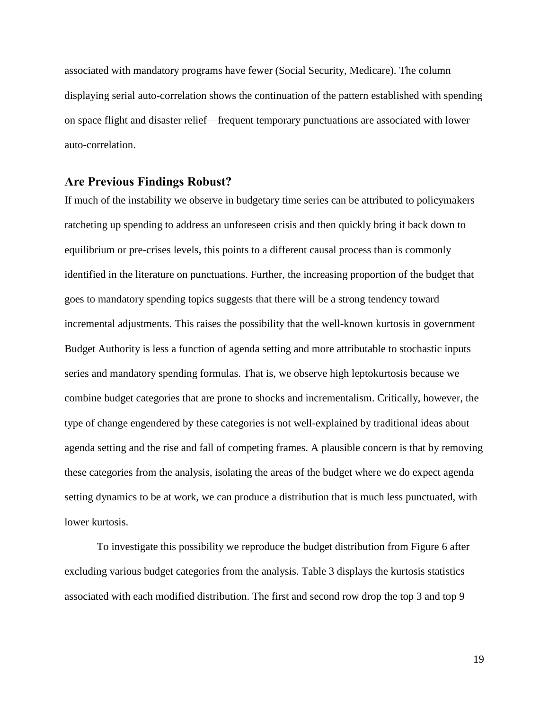associated with mandatory programs have fewer (Social Security, Medicare). The column displaying serial auto-correlation shows the continuation of the pattern established with spending on space flight and disaster relief—frequent temporary punctuations are associated with lower auto-correlation.

#### **Are Previous Findings Robust?**

If much of the instability we observe in budgetary time series can be attributed to policymakers ratcheting up spending to address an unforeseen crisis and then quickly bring it back down to equilibrium or pre-crises levels, this points to a different causal process than is commonly identified in the literature on punctuations. Further, the increasing proportion of the budget that goes to mandatory spending topics suggests that there will be a strong tendency toward incremental adjustments. This raises the possibility that the well-known kurtosis in government Budget Authority is less a function of agenda setting and more attributable to stochastic inputs series and mandatory spending formulas. That is, we observe high leptokurtosis because we combine budget categories that are prone to shocks and incrementalism. Critically, however, the type of change engendered by these categories is not well-explained by traditional ideas about agenda setting and the rise and fall of competing frames. A plausible concern is that by removing these categories from the analysis, isolating the areas of the budget where we do expect agenda setting dynamics to be at work, we can produce a distribution that is much less punctuated, with lower kurtosis.

To investigate this possibility we reproduce the budget distribution from Figure 6 after excluding various budget categories from the analysis. Table 3 displays the kurtosis statistics associated with each modified distribution. The first and second row drop the top 3 and top 9

19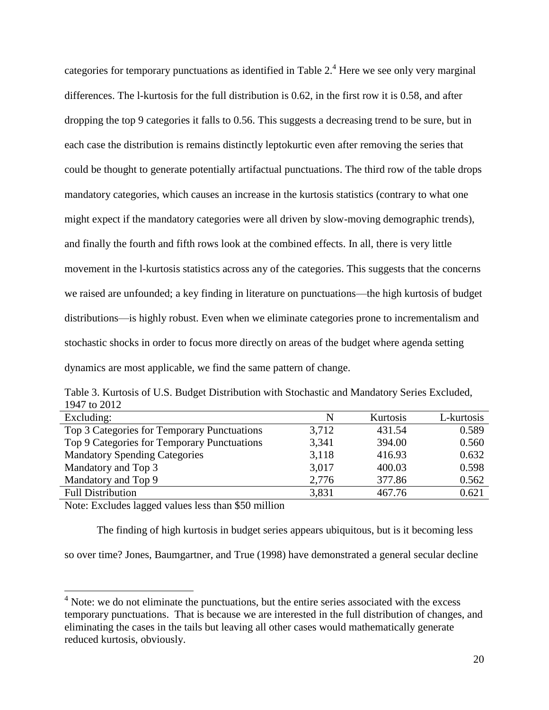categories for temporary punctuations as identified in Table  $2<sup>4</sup>$  Here we see only very marginal differences. The l-kurtosis for the full distribution is 0.62, in the first row it is 0.58, and after dropping the top 9 categories it falls to 0.56. This suggests a decreasing trend to be sure, but in each case the distribution is remains distinctly leptokurtic even after removing the series that could be thought to generate potentially artifactual punctuations. The third row of the table drops mandatory categories, which causes an increase in the kurtosis statistics (contrary to what one might expect if the mandatory categories were all driven by slow-moving demographic trends), and finally the fourth and fifth rows look at the combined effects. In all, there is very little movement in the l-kurtosis statistics across any of the categories. This suggests that the concerns we raised are unfounded; a key finding in literature on punctuations—the high kurtosis of budget distributions—is highly robust. Even when we eliminate categories prone to incrementalism and stochastic shocks in order to focus more directly on areas of the budget where agenda setting dynamics are most applicable, we find the same pattern of change.

Table 3. Kurtosis of U.S. Budget Distribution with Stochastic and Mandatory Series Excluded, 1947 to 2012

| Excluding:                                  | N     | Kurtosis | L-kurtosis |
|---------------------------------------------|-------|----------|------------|
| Top 3 Categories for Temporary Punctuations | 3,712 | 431.54   | 0.589      |
| Top 9 Categories for Temporary Punctuations | 3,341 | 394.00   | 0.560      |
| <b>Mandatory Spending Categories</b>        | 3,118 | 416.93   | 0.632      |
| Mandatory and Top 3                         | 3,017 | 400.03   | 0.598      |
| Mandatory and Top 9                         | 2,776 | 377.86   | 0.562      |
| <b>Full Distribution</b>                    | 3,831 | 467.76   | 0.621      |

Note: Excludes lagged values less than \$50 million

 $\overline{a}$ 

The finding of high kurtosis in budget series appears ubiquitous, but is it becoming less

so over time? Jones, Baumgartner, and True (1998) have demonstrated a general secular decline

 $4$  Note: we do not eliminate the punctuations, but the entire series associated with the excess temporary punctuations. That is because we are interested in the full distribution of changes, and eliminating the cases in the tails but leaving all other cases would mathematically generate reduced kurtosis, obviously.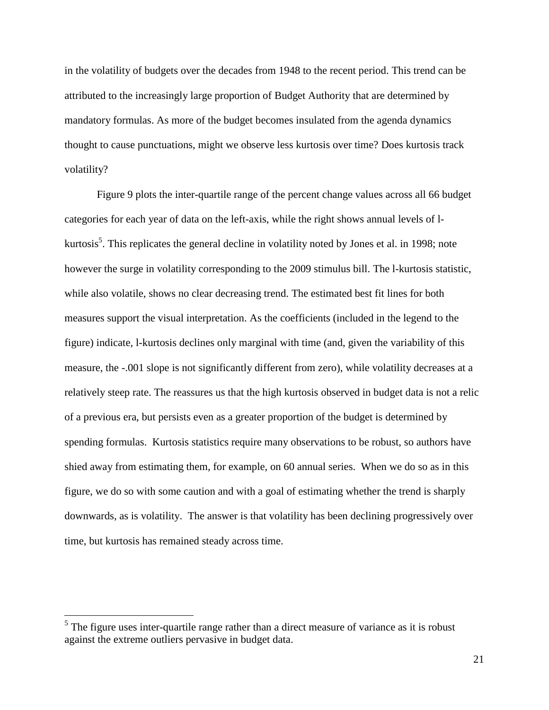in the volatility of budgets over the decades from 1948 to the recent period. This trend can be attributed to the increasingly large proportion of Budget Authority that are determined by mandatory formulas. As more of the budget becomes insulated from the agenda dynamics thought to cause punctuations, might we observe less kurtosis over time? Does kurtosis track volatility?

Figure 9 plots the inter-quartile range of the percent change values across all 66 budget categories for each year of data on the left-axis, while the right shows annual levels of lkurtosis<sup>5</sup>. This replicates the general decline in volatility noted by Jones et al. in 1998; note however the surge in volatility corresponding to the 2009 stimulus bill. The l-kurtosis statistic, while also volatile, shows no clear decreasing trend. The estimated best fit lines for both measures support the visual interpretation. As the coefficients (included in the legend to the figure) indicate, l-kurtosis declines only marginal with time (and, given the variability of this measure, the -.001 slope is not significantly different from zero), while volatility decreases at a relatively steep rate. The reassures us that the high kurtosis observed in budget data is not a relic of a previous era, but persists even as a greater proportion of the budget is determined by spending formulas. Kurtosis statistics require many observations to be robust, so authors have shied away from estimating them, for example, on 60 annual series. When we do so as in this figure, we do so with some caution and with a goal of estimating whether the trend is sharply downwards, as is volatility. The answer is that volatility has been declining progressively over time, but kurtosis has remained steady across time.

 $\overline{a}$ 

 $<sup>5</sup>$  The figure uses inter-quartile range rather than a direct measure of variance as it is robust</sup> against the extreme outliers pervasive in budget data.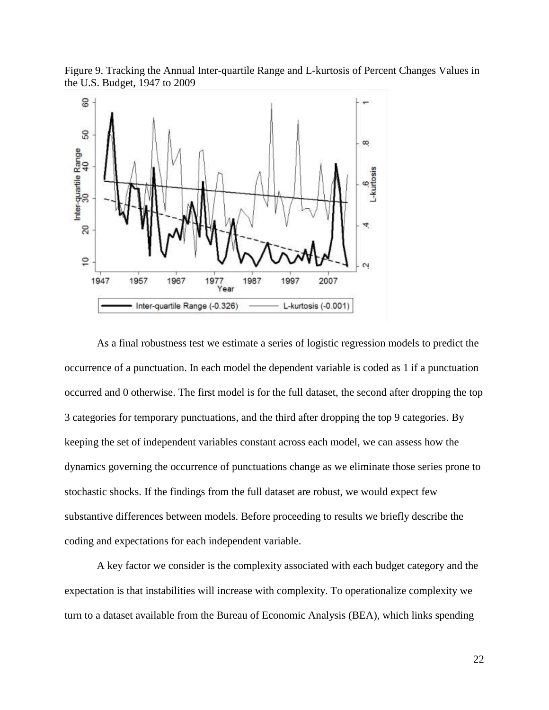Figure 9. Tracking the Annual Inter-quartile Range and L-kurtosis of Percent Changes Values in the U.S. Budget, 1947 to 2009



As a final robustness test we estimate a series of logistic regression models to predict the occurrence of a punctuation. In each model the dependent variable is coded as 1 if a punctuation occurred and 0 otherwise. The first model is for the full dataset, the second after dropping the top 3 categories for temporary punctuations, and the third after dropping the top 9 categories. By keeping the set of independent variables constant across each model, we can assess how the dynamics governing the occurrence of punctuations change as we eliminate those series prone to stochastic shocks. If the findings from the full dataset are robust, we would expect few substantive differences between models. Before proceeding to results we briefly describe the coding and expectations for each independent variable.

A key factor we consider is the complexity associated with each budget category and the expectation is that instabilities will increase with complexity. To operationalize complexity we turn to a dataset available from the Bureau of Economic Analysis (BEA), which links spending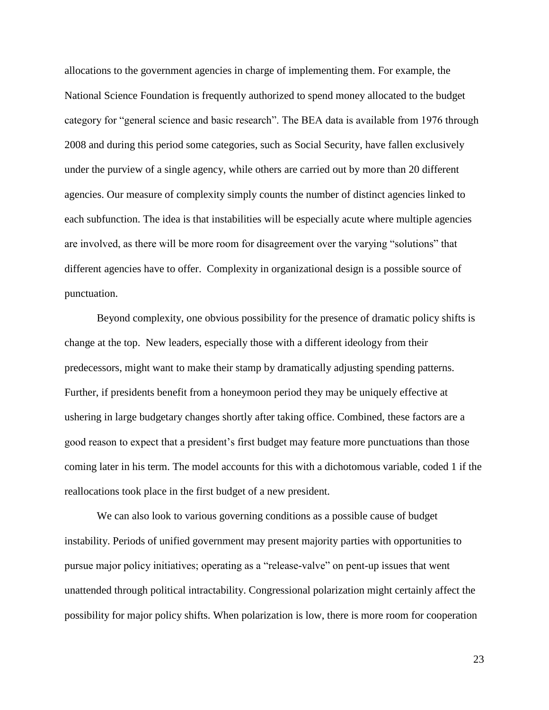allocations to the government agencies in charge of implementing them. For example, the National Science Foundation is frequently authorized to spend money allocated to the budget category for "general science and basic research". The BEA data is available from 1976 through 2008 and during this period some categories, such as Social Security, have fallen exclusively under the purview of a single agency, while others are carried out by more than 20 different agencies. Our measure of complexity simply counts the number of distinct agencies linked to each subfunction. The idea is that instabilities will be especially acute where multiple agencies are involved, as there will be more room for disagreement over the varying "solutions" that different agencies have to offer. Complexity in organizational design is a possible source of punctuation.

Beyond complexity, one obvious possibility for the presence of dramatic policy shifts is change at the top. New leaders, especially those with a different ideology from their predecessors, might want to make their stamp by dramatically adjusting spending patterns. Further, if presidents benefit from a honeymoon period they may be uniquely effective at ushering in large budgetary changes shortly after taking office. Combined, these factors are a good reason to expect that a president's first budget may feature more punctuations than those coming later in his term. The model accounts for this with a dichotomous variable, coded 1 if the reallocations took place in the first budget of a new president.

We can also look to various governing conditions as a possible cause of budget instability. Periods of unified government may present majority parties with opportunities to pursue major policy initiatives; operating as a "release-valve" on pent-up issues that went unattended through political intractability. Congressional polarization might certainly affect the possibility for major policy shifts. When polarization is low, there is more room for cooperation

23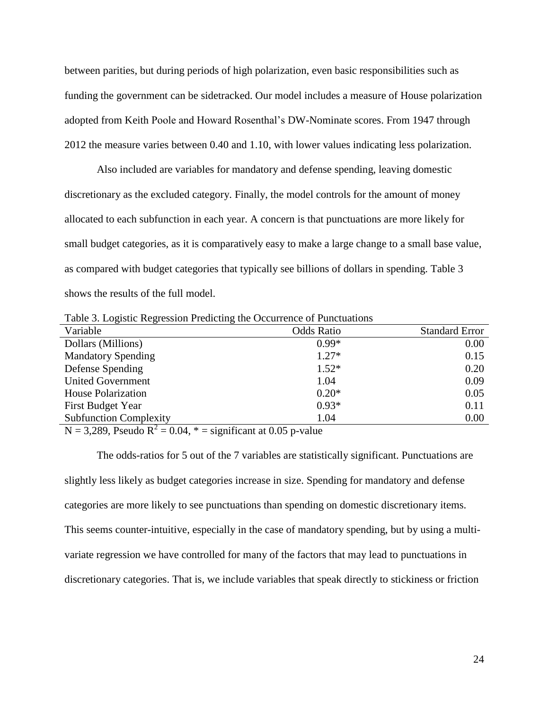between parities, but during periods of high polarization, even basic responsibilities such as funding the government can be sidetracked. Our model includes a measure of House polarization adopted from Keith Poole and Howard Rosenthal's DW-Nominate scores. From 1947 through 2012 the measure varies between 0.40 and 1.10, with lower values indicating less polarization.

Also included are variables for mandatory and defense spending, leaving domestic discretionary as the excluded category. Finally, the model controls for the amount of money allocated to each subfunction in each year. A concern is that punctuations are more likely for small budget categories, as it is comparatively easy to make a large change to a small base value, as compared with budget categories that typically see billions of dollars in spending. Table 3 shows the results of the full model.

Table 3. Logistic Regression Predicting the Occurrence of Punctuations

| ັ<br>$\overline{\phantom{0}}$ |                   |                       |
|-------------------------------|-------------------|-----------------------|
| Variable                      | <b>Odds Ratio</b> | <b>Standard Error</b> |
| Dollars (Millions)            | $0.99*$           | 0.00                  |
| <b>Mandatory Spending</b>     | $1.27*$           | 0.15                  |
| Defense Spending              | $1.52*$           | 0.20                  |
| <b>United Government</b>      | 1.04              | 0.09                  |
| <b>House Polarization</b>     | $0.20*$           | 0.05                  |
| <b>First Budget Year</b>      | $0.93*$           | 0.11                  |
| <b>Subfunction Complexity</b> | 1.04              | 0.00                  |

 $N = 3,289$ , Pseudo  $R^2 = 0.04$ ,  $* =$  significant at 0.05 p-value

The odds-ratios for 5 out of the 7 variables are statistically significant. Punctuations are slightly less likely as budget categories increase in size. Spending for mandatory and defense categories are more likely to see punctuations than spending on domestic discretionary items. This seems counter-intuitive, especially in the case of mandatory spending, but by using a multivariate regression we have controlled for many of the factors that may lead to punctuations in discretionary categories. That is, we include variables that speak directly to stickiness or friction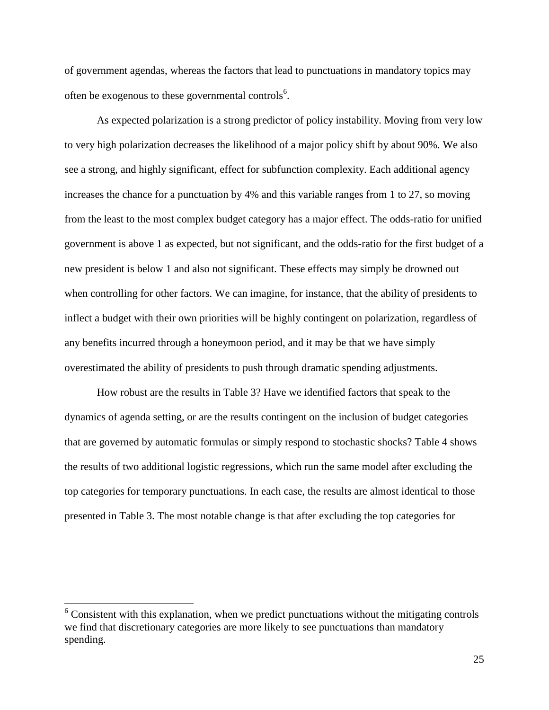of government agendas, whereas the factors that lead to punctuations in mandatory topics may often be exogenous to these governmental controls<sup>6</sup>.

As expected polarization is a strong predictor of policy instability. Moving from very low to very high polarization decreases the likelihood of a major policy shift by about 90%. We also see a strong, and highly significant, effect for subfunction complexity. Each additional agency increases the chance for a punctuation by 4% and this variable ranges from 1 to 27, so moving from the least to the most complex budget category has a major effect. The odds-ratio for unified government is above 1 as expected, but not significant, and the odds-ratio for the first budget of a new president is below 1 and also not significant. These effects may simply be drowned out when controlling for other factors. We can imagine, for instance, that the ability of presidents to inflect a budget with their own priorities will be highly contingent on polarization, regardless of any benefits incurred through a honeymoon period, and it may be that we have simply overestimated the ability of presidents to push through dramatic spending adjustments.

How robust are the results in Table 3? Have we identified factors that speak to the dynamics of agenda setting, or are the results contingent on the inclusion of budget categories that are governed by automatic formulas or simply respond to stochastic shocks? Table 4 shows the results of two additional logistic regressions, which run the same model after excluding the top categories for temporary punctuations. In each case, the results are almost identical to those presented in Table 3. The most notable change is that after excluding the top categories for

 $\overline{a}$ 

 $6$  Consistent with this explanation, when we predict punctuations without the mitigating controls we find that discretionary categories are more likely to see punctuations than mandatory spending.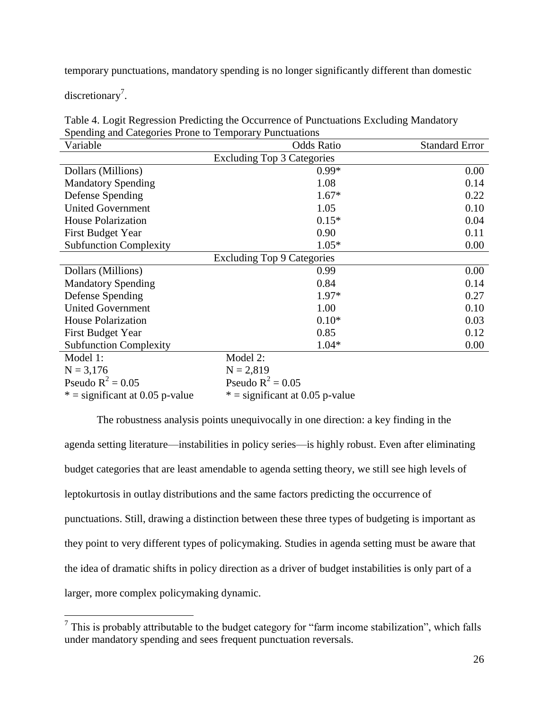temporary punctuations, mandatory spending is no longer significantly different than domestic

discretionary<sup>7</sup>.

| Table 4. Logit Regression Predicting the Occurrence of Punctuations Excluding Mandatory |
|-----------------------------------------------------------------------------------------|
| Spending and Categories Prone to Temporary Punctuations                                 |

| Variable                          | <b>Odds Ratio</b>                 | <b>Standard Error</b> |  |  |  |  |
|-----------------------------------|-----------------------------------|-----------------------|--|--|--|--|
| Excluding Top 3 Categories        |                                   |                       |  |  |  |  |
| Dollars (Millions)                | $0.99*$                           | 0.00                  |  |  |  |  |
| <b>Mandatory Spending</b>         | 1.08                              | 0.14                  |  |  |  |  |
| Defense Spending                  | $1.67*$                           | 0.22                  |  |  |  |  |
| <b>United Government</b>          | 1.05                              | 0.10                  |  |  |  |  |
| <b>House Polarization</b>         | $0.15*$                           | 0.04                  |  |  |  |  |
| <b>First Budget Year</b>          | 0.90                              | 0.11                  |  |  |  |  |
| <b>Subfunction Complexity</b>     | $1.05*$                           | 0.00                  |  |  |  |  |
| <b>Excluding Top 9 Categories</b> |                                   |                       |  |  |  |  |
| Dollars (Millions)                | 0.99                              | 0.00                  |  |  |  |  |
| <b>Mandatory Spending</b>         | 0.84                              | 0.14                  |  |  |  |  |
| Defense Spending                  | $1.97*$                           | 0.27                  |  |  |  |  |
| <b>United Government</b>          | 1.00                              | 0.10                  |  |  |  |  |
| <b>House Polarization</b>         | $0.10*$                           | 0.03                  |  |  |  |  |
| <b>First Budget Year</b>          | 0.85                              | 0.12                  |  |  |  |  |
| <b>Subfunction Complexity</b>     | $1.04*$                           | 0.00                  |  |  |  |  |
| Model 1:                          | Model 2:                          |                       |  |  |  |  |
| $N = 3,176$                       | $N = 2,819$                       |                       |  |  |  |  |
| Pseudo $R^2 = 0.05$               | Pseudo $R^2 = 0.05$               |                       |  |  |  |  |
| $*$ = significant at 0.05 p-value | $*$ = significant at 0.05 p-value |                       |  |  |  |  |

The robustness analysis points unequivocally in one direction: a key finding in the agenda setting literature—instabilities in policy series—is highly robust. Even after eliminating budget categories that are least amendable to agenda setting theory, we still see high levels of leptokurtosis in outlay distributions and the same factors predicting the occurrence of punctuations. Still, drawing a distinction between these three types of budgeting is important as they point to very different types of policymaking. Studies in agenda setting must be aware that the idea of dramatic shifts in policy direction as a driver of budget instabilities is only part of a larger, more complex policymaking dynamic.

<sup>&</sup>lt;sup>7</sup> This is probably attributable to the budget category for "farm income stabilization", which falls under mandatory spending and sees frequent punctuation reversals.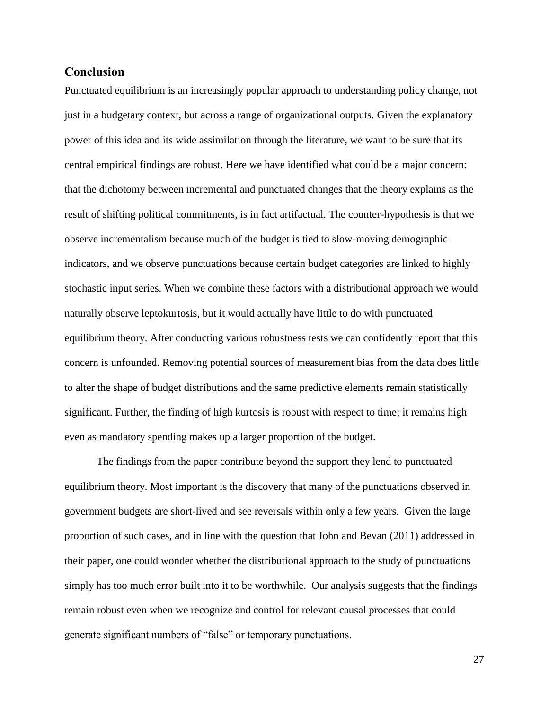## **Conclusion**

Punctuated equilibrium is an increasingly popular approach to understanding policy change, not just in a budgetary context, but across a range of organizational outputs. Given the explanatory power of this idea and its wide assimilation through the literature, we want to be sure that its central empirical findings are robust. Here we have identified what could be a major concern: that the dichotomy between incremental and punctuated changes that the theory explains as the result of shifting political commitments, is in fact artifactual. The counter-hypothesis is that we observe incrementalism because much of the budget is tied to slow-moving demographic indicators, and we observe punctuations because certain budget categories are linked to highly stochastic input series. When we combine these factors with a distributional approach we would naturally observe leptokurtosis, but it would actually have little to do with punctuated equilibrium theory. After conducting various robustness tests we can confidently report that this concern is unfounded. Removing potential sources of measurement bias from the data does little to alter the shape of budget distributions and the same predictive elements remain statistically significant. Further, the finding of high kurtosis is robust with respect to time; it remains high even as mandatory spending makes up a larger proportion of the budget.

The findings from the paper contribute beyond the support they lend to punctuated equilibrium theory. Most important is the discovery that many of the punctuations observed in government budgets are short-lived and see reversals within only a few years. Given the large proportion of such cases, and in line with the question that John and Bevan (2011) addressed in their paper, one could wonder whether the distributional approach to the study of punctuations simply has too much error built into it to be worthwhile. Our analysis suggests that the findings remain robust even when we recognize and control for relevant causal processes that could generate significant numbers of "false" or temporary punctuations.

27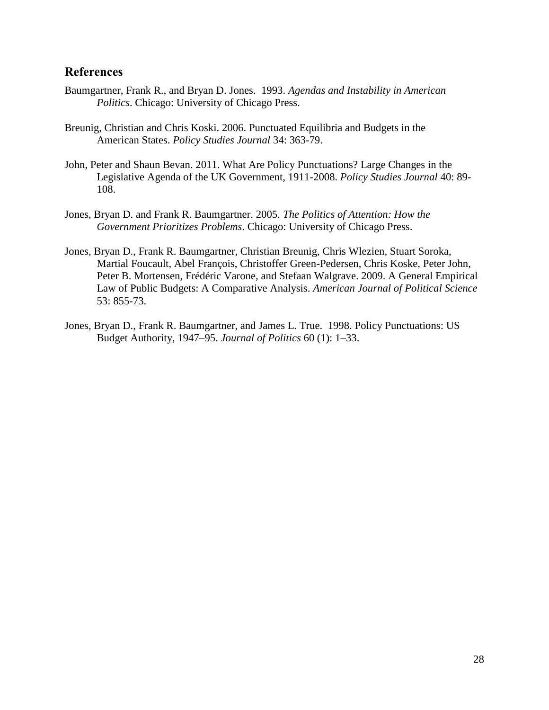## **References**

- Baumgartner, Frank R., and Bryan D. Jones. 1993. *Agendas and Instability in American Politics*. Chicago: University of Chicago Press.
- Breunig, Christian and Chris Koski. 2006. Punctuated Equilibria and Budgets in the American States. *Policy Studies Journal* 34: 363-79.
- John, Peter and Shaun Bevan. 2011. What Are Policy Punctuations? Large Changes in the Legislative Agenda of the UK Government, 1911-2008. *Policy Studies Journal* 40: 89- 108.
- Jones, Bryan D. and Frank R. Baumgartner. 2005. *The Politics of Attention: How the Government Prioritizes Problems*. Chicago: University of Chicago Press.
- Jones, Bryan D., Frank R. Baumgartner, Christian Breunig, Chris Wlezien, Stuart Soroka, Martial Foucault, Abel François, Christoffer Green-Pedersen, Chris Koske, Peter John, Peter B. Mortensen, Frédéric Varone, and Stefaan Walgrave. 2009. A General Empirical Law of Public Budgets: A Comparative Analysis. *American Journal of Political Science* 53: 855-73.
- Jones, Bryan D., Frank R. Baumgartner, and James L. True. 1998. Policy Punctuations: US Budget Authority, 1947–95. *Journal of Politics* 60 (1): 1–33.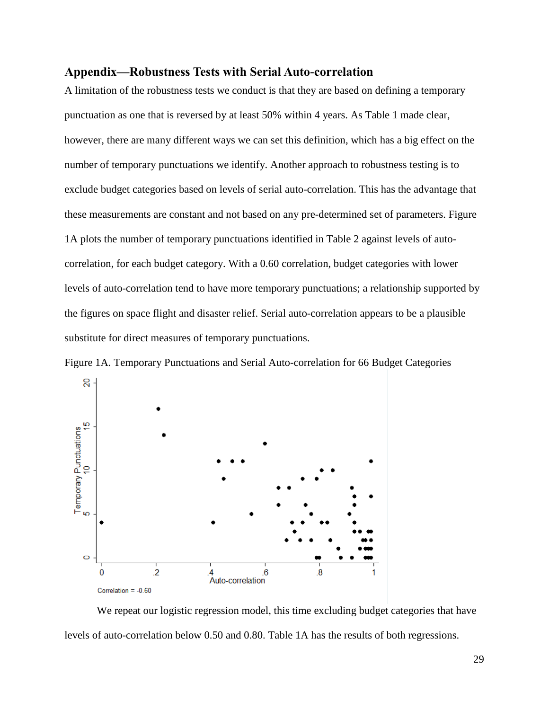### **Appendix—Robustness Tests with Serial Auto-correlation**

A limitation of the robustness tests we conduct is that they are based on defining a temporary punctuation as one that is reversed by at least 50% within 4 years. As Table 1 made clear, however, there are many different ways we can set this definition, which has a big effect on the number of temporary punctuations we identify. Another approach to robustness testing is to exclude budget categories based on levels of serial auto-correlation. This has the advantage that these measurements are constant and not based on any pre-determined set of parameters. Figure 1A plots the number of temporary punctuations identified in Table 2 against levels of autocorrelation, for each budget category. With a 0.60 correlation, budget categories with lower levels of auto-correlation tend to have more temporary punctuations; a relationship supported by the figures on space flight and disaster relief. Serial auto-correlation appears to be a plausible substitute for direct measures of temporary punctuations.



Figure 1A. Temporary Punctuations and Serial Auto-correlation for 66 Budget Categories

We repeat our logistic regression model, this time excluding budget categories that have levels of auto-correlation below 0.50 and 0.80. Table 1A has the results of both regressions.